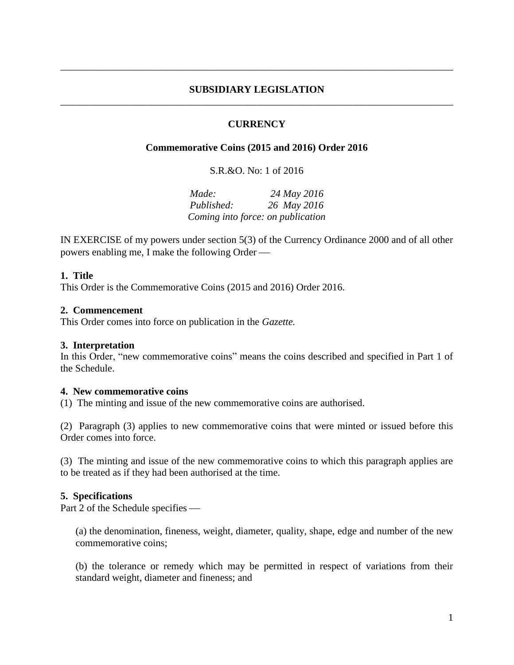## **SUBSIDIARY LEGISLATION** \_\_\_\_\_\_\_\_\_\_\_\_\_\_\_\_\_\_\_\_\_\_\_\_\_\_\_\_\_\_\_\_\_\_\_\_\_\_\_\_\_\_\_\_\_\_\_\_\_\_\_\_\_\_\_\_\_\_\_\_\_\_\_\_\_\_\_\_\_\_\_\_\_\_\_\_\_\_

\_\_\_\_\_\_\_\_\_\_\_\_\_\_\_\_\_\_\_\_\_\_\_\_\_\_\_\_\_\_\_\_\_\_\_\_\_\_\_\_\_\_\_\_\_\_\_\_\_\_\_\_\_\_\_\_\_\_\_\_\_\_\_\_\_\_\_\_\_\_\_\_\_\_\_\_\_\_

## **CURRENCY**

## **Commemorative Coins (2015 and 2016) Order 2016**

S.R.&O. No: 1 of 2016

*Made: 24 May 2016 Published: 26 May 2016 Coming into force: on publication*

IN EXERCISE of my powers under section 5(3) of the Currency Ordinance 2000 and of all other powers enabling me, I make the following Order

### **1. Title**

This Order is the Commemorative Coins (2015 and 2016) Order 2016.

### **2. Commencement**

This Order comes into force on publication in the *Gazette.*

#### **3. Interpretation**

In this Order, "new commemorative coins" means the coins described and specified in Part 1 of the Schedule.

#### **4. New commemorative coins**

(1) The minting and issue of the new commemorative coins are authorised.

(2) Paragraph (3) applies to new commemorative coins that were minted or issued before this Order comes into force.

(3) The minting and issue of the new commemorative coins to which this paragraph applies are to be treated as if they had been authorised at the time.

#### **5. Specifications**

Part 2 of the Schedule specifies

(a) the denomination, fineness, weight, diameter, quality, shape, edge and number of the new commemorative coins;

(b) the tolerance or remedy which may be permitted in respect of variations from their standard weight, diameter and fineness; and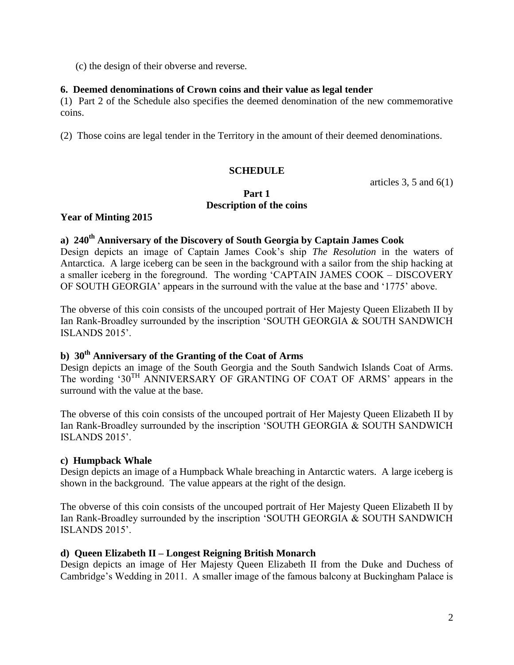(c) the design of their obverse and reverse.

# **6. Deemed denominations of Crown coins and their value as legal tender**

(1) Part 2 of the Schedule also specifies the deemed denomination of the new commemorative coins.

(2) Those coins are legal tender in the Territory in the amount of their deemed denominations.

# **SCHEDULE**

articles 3, 5 and  $6(1)$ 

## **Part 1 Description of the coins**

## **Year of Minting 2015**

# **a) 240th Anniversary of the Discovery of South Georgia by Captain James Cook**

Design depicts an image of Captain James Cook's ship *The Resolution* in the waters of Antarctica. A large iceberg can be seen in the background with a sailor from the ship hacking at a smaller iceberg in the foreground. The wording 'CAPTAIN JAMES COOK – DISCOVERY OF SOUTH GEORGIA' appears in the surround with the value at the base and '1775' above.

The obverse of this coin consists of the uncouped portrait of Her Majesty Queen Elizabeth II by Ian Rank-Broadley surrounded by the inscription 'SOUTH GEORGIA & SOUTH SANDWICH ISLANDS 2015'.

# **b) 30th Anniversary of the Granting of the Coat of Arms**

Design depicts an image of the South Georgia and the South Sandwich Islands Coat of Arms. The wording '30<sup>TH</sup> ANNIVERSARY OF GRANTING OF COAT OF ARMS' appears in the surround with the value at the base.

The obverse of this coin consists of the uncouped portrait of Her Majesty Queen Elizabeth II by Ian Rank-Broadley surrounded by the inscription 'SOUTH GEORGIA & SOUTH SANDWICH ISLANDS 2015'.

## **c) Humpback Whale**

Design depicts an image of a Humpback Whale breaching in Antarctic waters. A large iceberg is shown in the background. The value appears at the right of the design.

The obverse of this coin consists of the uncouped portrait of Her Majesty Queen Elizabeth II by Ian Rank-Broadley surrounded by the inscription 'SOUTH GEORGIA & SOUTH SANDWICH ISLANDS 2015'.

## **d) Queen Elizabeth II – Longest Reigning British Monarch**

Design depicts an image of Her Majesty Queen Elizabeth II from the Duke and Duchess of Cambridge's Wedding in 2011. A smaller image of the famous balcony at Buckingham Palace is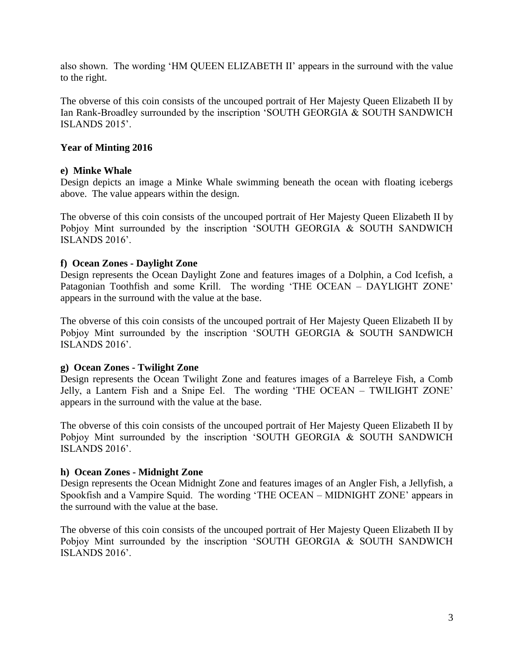also shown. The wording 'HM QUEEN ELIZABETH II' appears in the surround with the value to the right.

The obverse of this coin consists of the uncouped portrait of Her Majesty Queen Elizabeth II by Ian Rank-Broadley surrounded by the inscription 'SOUTH GEORGIA & SOUTH SANDWICH ISLANDS 2015'.

# **Year of Minting 2016**

## **e) Minke Whale**

Design depicts an image a Minke Whale swimming beneath the ocean with floating icebergs above. The value appears within the design.

The obverse of this coin consists of the uncouped portrait of Her Majesty Queen Elizabeth II by Pobjoy Mint surrounded by the inscription 'SOUTH GEORGIA & SOUTH SANDWICH ISLANDS 2016'.

## **f) Ocean Zones - Daylight Zone**

Design represents the Ocean Daylight Zone and features images of a Dolphin, a Cod Icefish, a Patagonian Toothfish and some Krill. The wording 'THE OCEAN – DAYLIGHT ZONE' appears in the surround with the value at the base.

The obverse of this coin consists of the uncouped portrait of Her Majesty Queen Elizabeth II by Pobjoy Mint surrounded by the inscription 'SOUTH GEORGIA & SOUTH SANDWICH ISLANDS 2016'.

## **g) Ocean Zones - Twilight Zone**

Design represents the Ocean Twilight Zone and features images of a Barreleye Fish, a Comb Jelly, a Lantern Fish and a Snipe Eel. The wording 'THE OCEAN – TWILIGHT ZONE' appears in the surround with the value at the base.

The obverse of this coin consists of the uncouped portrait of Her Majesty Queen Elizabeth II by Pobjoy Mint surrounded by the inscription 'SOUTH GEORGIA & SOUTH SANDWICH ISLANDS 2016'.

## **h) Ocean Zones - Midnight Zone**

Design represents the Ocean Midnight Zone and features images of an Angler Fish, a Jellyfish, a Spookfish and a Vampire Squid. The wording 'THE OCEAN – MIDNIGHT ZONE' appears in the surround with the value at the base.

The obverse of this coin consists of the uncouped portrait of Her Majesty Queen Elizabeth II by Pobjoy Mint surrounded by the inscription 'SOUTH GEORGIA & SOUTH SANDWICH ISLANDS 2016'.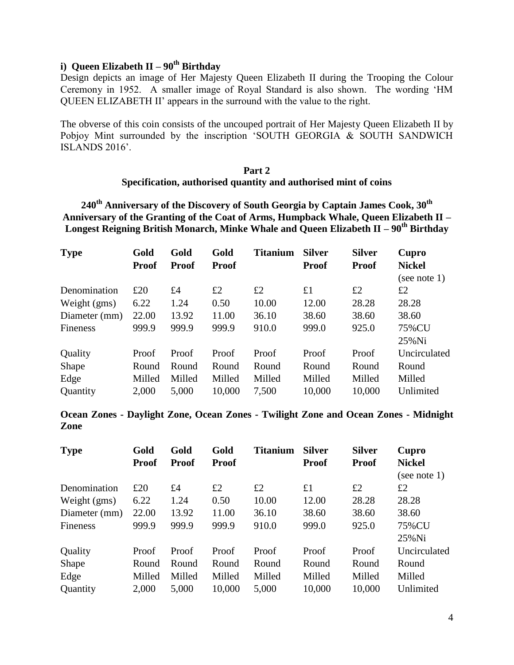# **i) Queen Elizabeth II – 90th Birthday**

Design depicts an image of Her Majesty Queen Elizabeth II during the Trooping the Colour Ceremony in 1952. A smaller image of Royal Standard is also shown. The wording 'HM QUEEN ELIZABETH II' appears in the surround with the value to the right.

The obverse of this coin consists of the uncouped portrait of Her Majesty Queen Elizabeth II by Pobjoy Mint surrounded by the inscription 'SOUTH GEORGIA & SOUTH SANDWICH ISLANDS 2016'.

### **Part 2 Specification, authorised quantity and authorised mint of coins**

**240th Anniversary of the Discovery of South Georgia by Captain James Cook, 30th Anniversary of the Granting of the Coat of Arms, Humpback Whale, Queen Elizabeth II – Longest Reigning British Monarch, Minke Whale and Queen Elizabeth II – 90th Birthday**

| <b>Type</b>   | Gold         | Gold         | Gold         | <b>Titanium</b> | <b>Silver</b> | <b>Silver</b> | Cupro         |
|---------------|--------------|--------------|--------------|-----------------|---------------|---------------|---------------|
|               | <b>Proof</b> | <b>Proof</b> | <b>Proof</b> |                 | <b>Proof</b>  | <b>Proof</b>  | <b>Nickel</b> |
|               |              |              |              |                 |               |               | (see note 1)  |
| Denomination  | £20          | £4           | £2           | £2              | £1            | £2            | £2            |
| Weight (gms)  | 6.22         | 1.24         | 0.50         | 10.00           | 12.00         | 28.28         | 28.28         |
| Diameter (mm) | 22.00        | 13.92        | 11.00        | 36.10           | 38.60         | 38.60         | 38.60         |
| Fineness      | 999.9        | 999.9        | 999.9        | 910.0           | 999.0         | 925.0         | 75%CU         |
|               |              |              |              |                 |               |               | $25\%$ Ni     |
| Quality       | Proof        | Proof        | Proof        | Proof           | Proof         | Proof         | Uncirculated  |
| Shape         | Round        | Round        | Round        | Round           | Round         | Round         | Round         |
| Edge          | Milled       | Milled       | Milled       | Milled          | Milled        | Milled        | Milled        |
| Quantity      | 2,000        | 5,000        | 10,000       | 7,500           | 10,000        | 10,000        | Unlimited     |

**Ocean Zones - Daylight Zone, Ocean Zones - Twilight Zone and Ocean Zones - Midnight Zone**

| <b>Type</b>   | Gold         | Gold         | Gold         | <b>Titanium</b> | <b>Silver</b> | <b>Silver</b> | Cupro         |
|---------------|--------------|--------------|--------------|-----------------|---------------|---------------|---------------|
|               | <b>Proof</b> | <b>Proof</b> | <b>Proof</b> |                 | <b>Proof</b>  | <b>Proof</b>  | <b>Nickel</b> |
|               |              |              |              |                 |               |               | (see note 1)  |
| Denomination  | £20          | £4           | £2           | £2              | £1            | £2            | £2            |
| Weight (gms)  | 6.22         | 1.24         | 0.50         | 10.00           | 12.00         | 28.28         | 28.28         |
| Diameter (mm) | 22.00        | 13.92        | 11.00        | 36.10           | 38.60         | 38.60         | 38.60         |
| Fineness      | 999.9        | 999.9        | 999.9        | 910.0           | 999.0         | 925.0         | 75%CU         |
|               |              |              |              |                 |               |               | $25\%$ Ni     |
| Quality       | Proof        | Proof        | Proof        | Proof           | Proof         | Proof         | Uncirculated  |
| Shape         | Round        | Round        | Round        | Round           | Round         | Round         | Round         |
| Edge          | Milled       | Milled       | Milled       | Milled          | Milled        | Milled        | Milled        |
| Quantity      | 2,000        | 5,000        | 10,000       | 5,000           | 10,000        | 10,000        | Unlimited     |